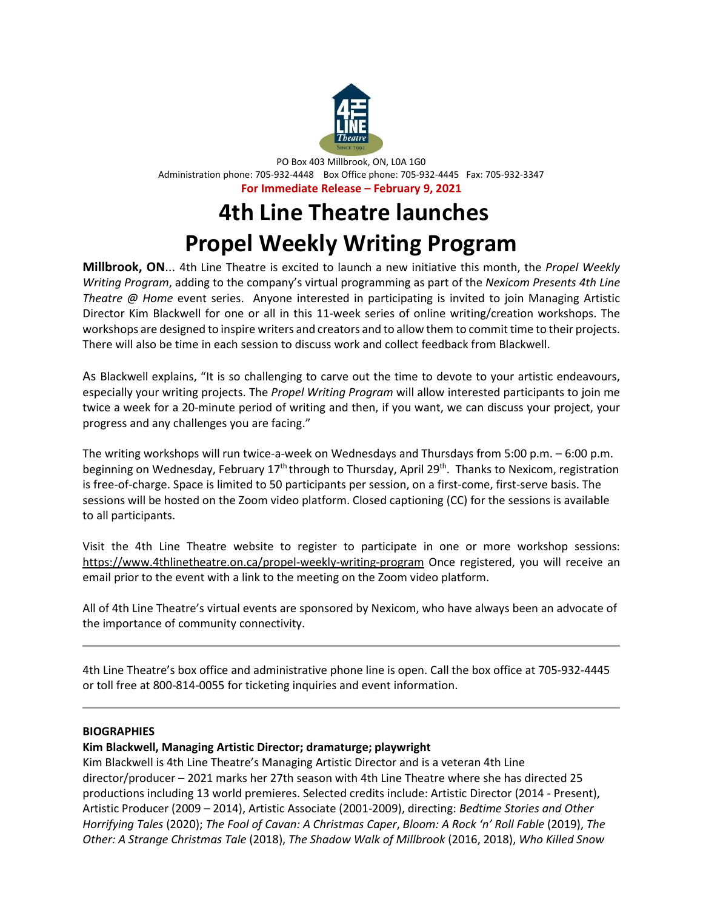

PO Box 403 Millbrook, ON, L0A 1G0 Administration phone: 705-932-4448 Box Office phone: 705-932-4445 Fax: 705-932-3347 **For Immediate Release – February 9, 2021**

## **4th Line Theatre launches Propel Weekly Writing Program**

**Millbrook, ON**... 4th Line Theatre is excited to launch a new initiative this month, the *Propel Weekly Writing Program*, adding to the company's virtual programming as part of the *Nexicom Presents 4th Line Theatre @ Home* event series. Anyone interested in participating is invited to join Managing Artistic Director Kim Blackwell for one or all in this 11-week series of online writing/creation workshops. The workshops are designed to inspire writers and creators and to allow them to commit time to their projects. There will also be time in each session to discuss work and collect feedback from Blackwell.

As Blackwell explains, "It is so challenging to carve out the time to devote to your artistic endeavours, especially your writing projects. The *Propel Writing Program* will allow interested participants to join me twice a week for a 20-minute period of writing and then, if you want, we can discuss your project, your progress and any challenges you are facing."

The writing workshops will run twice-a-week on Wednesdays and Thursdays from 5:00 p.m. – 6:00 p.m. beginning on Wednesday, February 17<sup>th</sup> through to Thursday, April 29<sup>th</sup>. Thanks to Nexicom, registration is free-of-charge. Space is limited to 50 participants per session, on a first-come, first-serve basis. The sessions will be hosted on the Zoom video platform. Closed captioning (CC) for the sessions is available to all participants.

Visit the 4th Line Theatre website to register to participate in one or more workshop sessions: <https://www.4thlinetheatre.on.ca/propel-weekly-writing-program> Once registered, you will receive an email prior to the event with a link to the meeting on the Zoom video platform.

All of 4th Line Theatre's virtual events are sponsored by Nexicom, who have always been an advocate of the importance of community connectivity.

4th Line Theatre's box office and administrative phone line is open. Call the box office at 705-932-4445 or toll free at 800-814-0055 for ticketing inquiries and event information.

## **BIOGRAPHIES**

## **Kim Blackwell, Managing Artistic Director; dramaturge; playwright**

Kim Blackwell is 4th Line Theatre's Managing Artistic Director and is a veteran 4th Line director/producer – 2021 marks her 27th season with 4th Line Theatre where she has directed 25 productions including 13 world premieres. Selected credits include: Artistic Director (2014 - Present), Artistic Producer (2009 – 2014), Artistic Associate (2001-2009), directing: *Bedtime Stories and Other Horrifying Tales* (2020); *The Fool of Cavan: A Christmas Caper*, *Bloom: A Rock 'n' Roll Fable* (2019), *The Other: A Strange Christmas Tale* (2018), *The Shadow Walk of Millbrook* (2016, 2018), *Who Killed Snow*